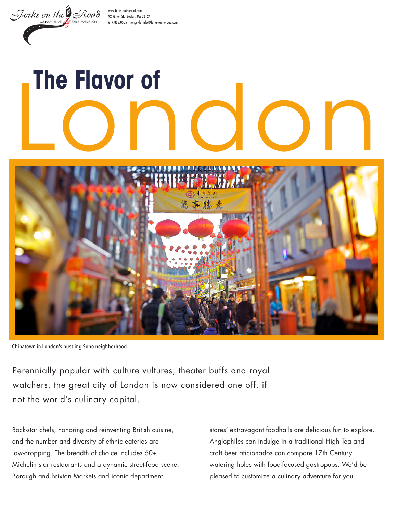[www.forks-ontheroad.com](http://www.forks-ontheroad.com) 92 Milton St. Boston, MA 02124 617.825.0505 [hungryforinfo@forks-ontheroad.com](mailto:hungryforinfo%40forks-ontheroad.com?subject=)

# The Flavor of<br>
<u>LONOO</u> D



Chinatown in London's bustling Soho neighborhood.

Forks on the Road

Perennially popular with culture vultures, theater buffs and royal watchers, the great city of London is now considered one off, if not the world's culinary capital.

Rock-star chefs, honoring and reinventing British cuisine, and the number and diversity of ethnic eateries are jaw-dropping. The breadth of choice includes 60+ Michelin star restaurants and a dynamic street-food scene. Borough and Brixton Markets and iconic department

stores' extravagant foodhalls are delicious fun to explore. Anglophiles can indulge in a traditional High Tea and craft beer aficionados can compare 17th Century watering holes with food-focused gastropubs. We'd be pleased to customize a culinary adventure for you.